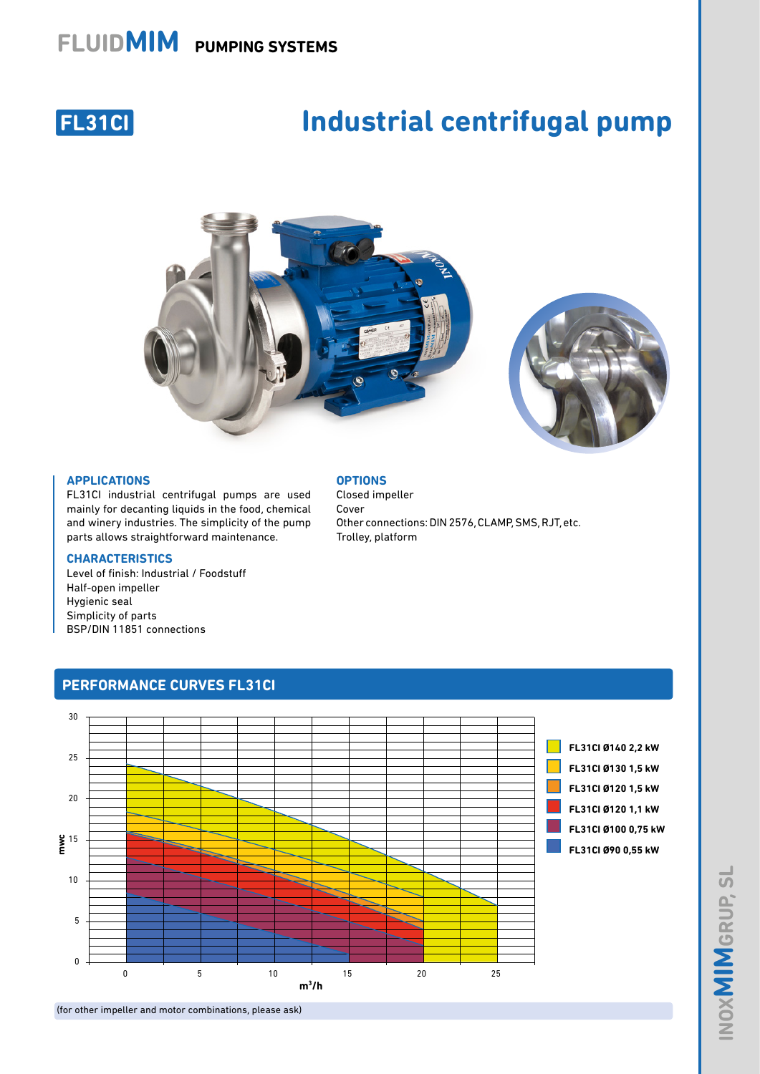## **FLUIDMIM PUMPING SYSTEMS**



# **Industrial centrifugal pump**





### **APPLICATIONS**

FL31CI industrial centrifugal pumps are used mainly for decanting liquids in the food, chemical and winery industries. The simplicity of the pump parts allows straightforward maintenance.

#### **CHARACTERISTICS**

Level of finish: Industrial / Foodstuff Half-open impeller Hygienic seal Simplicity of parts BSP/DIN 11851 connections

#### **OPTIONS**

Closed impeller Cover Other connections: DIN 2576, CLAMP, SMS, RJT, etc. Trolley, platform



**PERFORMANCE CURVES FL31CI** 

(for other impeller and motor combinations, please ask)